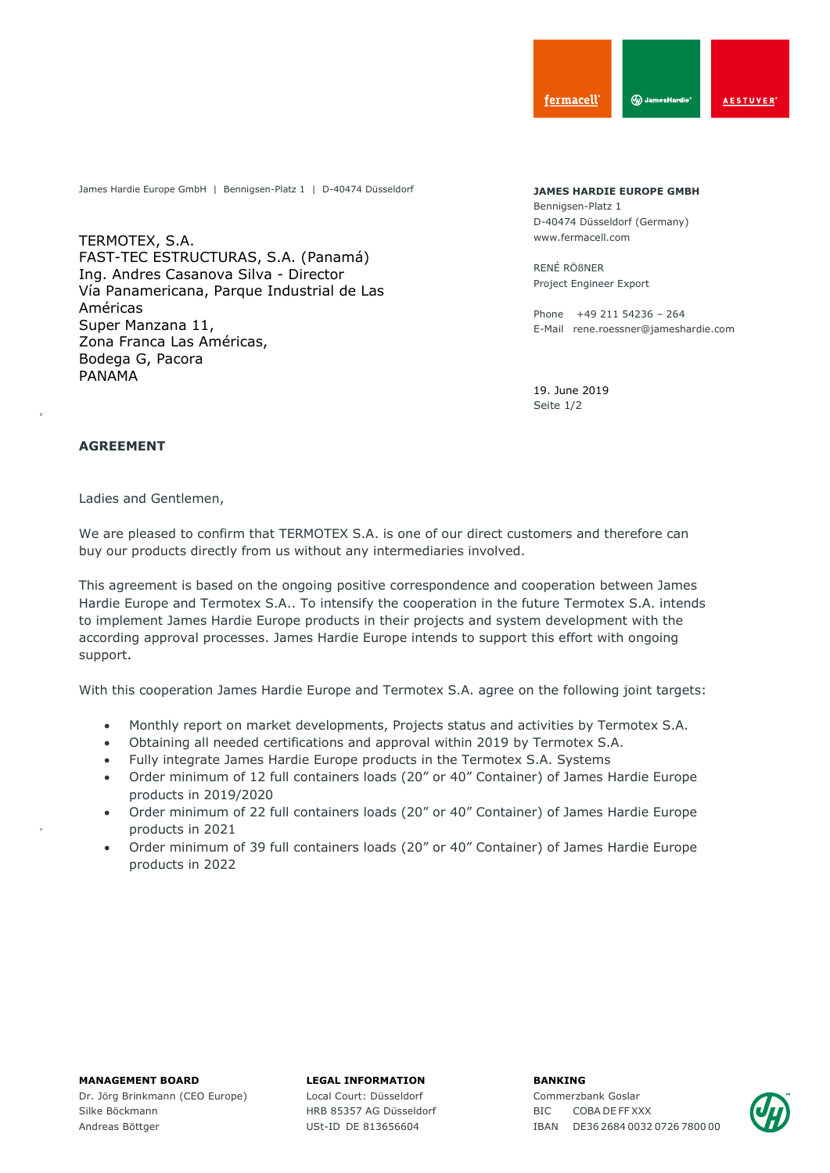James Hardie Europe GmbH | Bennigsen-Platz 1 | D-40474 Düsseldorf

TERMOTEX, S.A. FAST-TEC ESTRUCTURAS, S.A. (Panamá) Ing. Andres Casanova Silva - Director Vía Panamericana, Parque Industrial de Las Américas Super Manzana 11, Zona Franca Las Américas, Bodega G, Pacora PANAMA

**JAMES HARDIE EUROPE GMBH** Bennigsen-Platz 1 D-40474 Düsseldorf (Germany) www.fermacell.com

RENÉ RÖßNER Project Engineer Export

Phone +49 211 54236 – 264 E-Mail rene.roessner@jameshardie.com

Seite 1/2 19. June 2019

## **AGREEMENT**

Ladies and Gentlemen,

We are pleased to confirm that TERMOTEX S.A. is one of our direct customers and therefore can buy our products directly from us without any intermediaries involved.

This agreement is based on the ongoing positive correspondence and cooperation between James Hardie Europe and Termotex S.A.. To intensify the cooperation in the future Termotex S.A. intends to implement James Hardie Europe products in their projects and system development with the according approval processes. James Hardie Europe intends to support this effort with ongoing support.

With this cooperation James Hardie Europe and Termotex S.A. agree on the following joint targets:

- Monthly report on market developments, Projects status and activities by Termotex S.A.
- Obtaining all needed certifications and approval within 2019 by Termotex S.A.
- Fully integrate James Hardie Europe products in the Termotex S.A. Systems
- Order minimum of 12 full containers loads (20" or 40" Container) of James Hardie Europe products in 2019/2020
- Order minimum of 22 full containers loads (20" or 40" Container) of James Hardie Europe products in 2021
- Order minimum of 39 full containers loads (20" or 40" Container) of James Hardie Europe products in 2022

## **MANAGEMENT BOARD**

Dr. Jörg Brinkmann (CEO Europe) Silke Böckmann Andreas Böttger

## **LEGAL INFORMATION**

Local Court: Düsseldorf HRB 85357 AG Düsseldorf USt-ID DE 813656604

**BANKING**